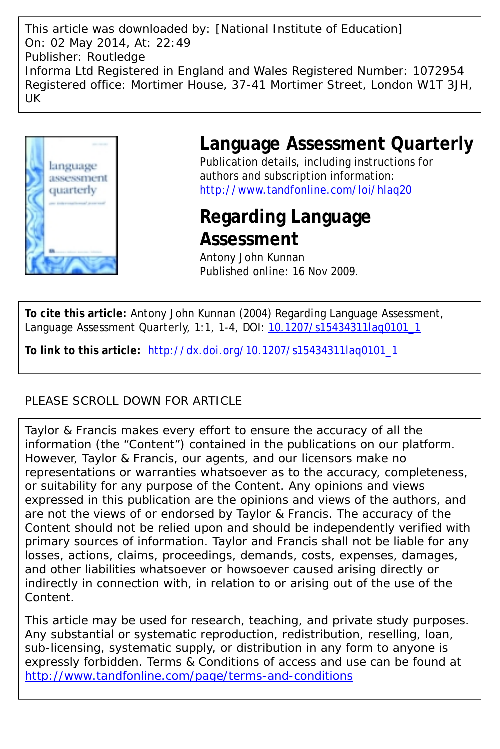This article was downloaded by: [National Institute of Education] On: 02 May 2014, At: 22:49 Publisher: Routledge Informa Ltd Registered in England and Wales Registered Number: 1072954 Registered office: Mortimer House, 37-41 Mortimer Street, London W1T 3JH, UK



# **Language Assessment Quarterly**

Publication details, including instructions for authors and subscription information: <http://www.tandfonline.com/loi/hlaq20>

# **Regarding Language Assessment**

Antony John Kunnan Published online: 16 Nov 2009.

**To cite this article:** Antony John Kunnan (2004) Regarding Language Assessment, Language Assessment Quarterly, 1:1, 1-4, DOI: [10.1207/s15434311laq0101\\_1](http://www.tandfonline.com/action/showCitFormats?doi=10.1207/s15434311laq0101_1)

**To link to this article:** [http://dx.doi.org/10.1207/s15434311laq0101\\_1](http://dx.doi.org/10.1207/s15434311laq0101_1)

### PLEASE SCROLL DOWN FOR ARTICLE

Taylor & Francis makes every effort to ensure the accuracy of all the information (the "Content") contained in the publications on our platform. However, Taylor & Francis, our agents, and our licensors make no representations or warranties whatsoever as to the accuracy, completeness, or suitability for any purpose of the Content. Any opinions and views expressed in this publication are the opinions and views of the authors, and are not the views of or endorsed by Taylor & Francis. The accuracy of the Content should not be relied upon and should be independently verified with primary sources of information. Taylor and Francis shall not be liable for any losses, actions, claims, proceedings, demands, costs, expenses, damages, and other liabilities whatsoever or howsoever caused arising directly or indirectly in connection with, in relation to or arising out of the use of the Content.

This article may be used for research, teaching, and private study purposes. Any substantial or systematic reproduction, redistribution, reselling, loan, sub-licensing, systematic supply, or distribution in any form to anyone is expressly forbidden. Terms & Conditions of access and use can be found at <http://www.tandfonline.com/page/terms-and-conditions>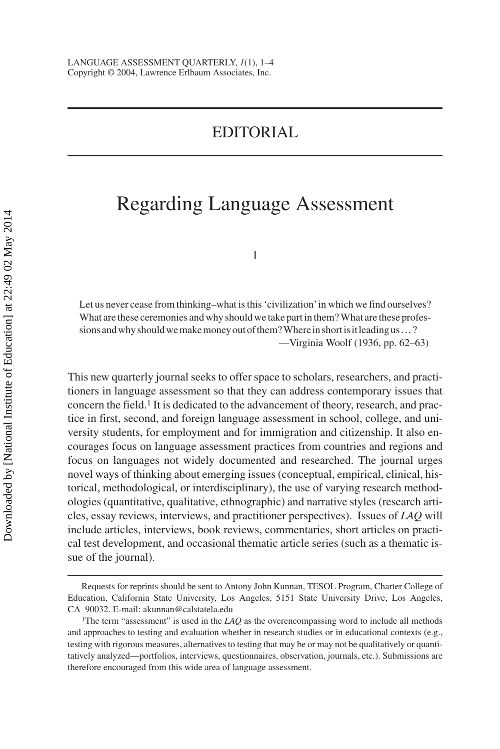## EDITORIAL

## Regarding Language Assessment

I

Let us never cease from thinking–what is this 'civilization'in which we find ourselves? What are these ceremonies and why should we take part in them? What are these professionsandwhyshouldwemakemoneyoutofthem?Whereinshortisitleadingus…? —Virginia Woolf (1936, pp. 62–63)

This new quarterly journal seeks to offer space to scholars, researchers, and practitioners in language assessment so that they can address contemporary issues that concern the field.1 It is dedicated to the advancement of theory, research, and practice in first, second, and foreign language assessment in school, college, and university students, for employment and for immigration and citizenship. It also encourages focus on language assessment practices from countries and regions and focus on languages not widely documented and researched. The journal urges novel ways of thinking about emerging issues (conceptual, empirical, clinical, historical, methodological, or interdisciplinary), the use of varying research methodologies (quantitative, qualitative, ethnographic) and narrative styles (research articles, essay reviews, interviews, and practitioner perspectives). Issues of *LAQ* will include articles, interviews, book reviews, commentaries, short articles on practical test development, and occasional thematic article series (such as a thematic issue of the journal).

Requests for reprints should be sent to Antony John Kunnan, TESOL Program, Charter College of Education, California State University, Los Angeles, 5151 State University Drive, Los Angeles, CA 90032. E-mail: akunnan@calstatela.edu

<sup>&</sup>lt;sup>1</sup>The term "assessment" is used in the  $LAQ$  as the overencompassing word to include all methods and approaches to testing and evaluation whether in research studies or in educational contexts (e.g., testing with rigorous measures, alternatives to testing that may be or may not be qualitatively or quantitatively analyzed—portfolios, interviews, questionnaires, observation, journals, etc.). Submissions are therefore encouraged from this wide area of language assessment.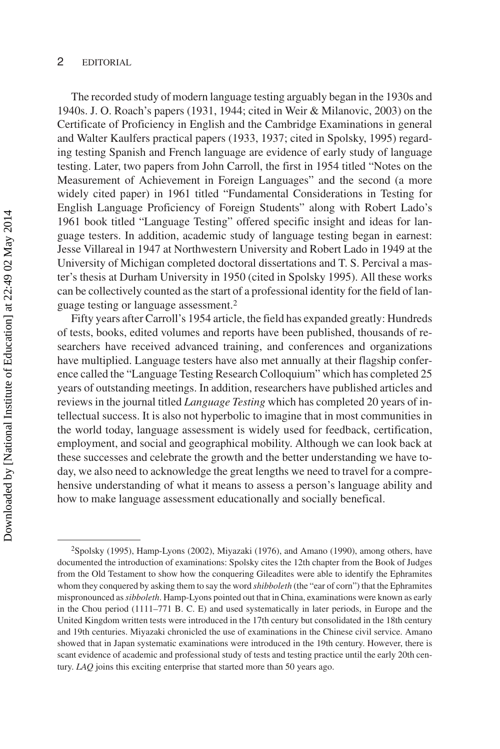#### 2 EDITORIAL

The recorded study of modern language testing arguably began in the 1930s and 1940s. J. O. Roach's papers (1931, 1944; cited in Weir & Milanovic, 2003) on the Certificate of Proficiency in English and the Cambridge Examinations in general and Walter Kaulfers practical papers (1933, 1937; cited in Spolsky, 1995) regarding testing Spanish and French language are evidence of early study of language testing. Later, two papers from John Carroll, the first in 1954 titled "Notes on the Measurement of Achievement in Foreign Languages" and the second (a more widely cited paper) in 1961 titled "Fundamental Considerations in Testing for English Language Proficiency of Foreign Students" along with Robert Lado's 1961 book titled "Language Testing" offered specific insight and ideas for language testers. In addition, academic study of language testing began in earnest: Jesse Villareal in 1947 at Northwestern University and Robert Lado in 1949 at the University of Michigan completed doctoral dissertations and T. S. Percival a master's thesis at Durham University in 1950 (cited in Spolsky 1995). All these works can be collectively counted as the start of a professional identity for the field of language testing or language assessment.2

Fifty years after Carroll's 1954 article, the field has expanded greatly: Hundreds of tests, books, edited volumes and reports have been published, thousands of researchers have received advanced training, and conferences and organizations have multiplied. Language testers have also met annually at their flagship conference called the "Language Testing Research Colloquium" which has completed 25 years of outstanding meetings. In addition, researchers have published articles and reviews in the journal titled *Language Testing* which has completed 20 years of intellectual success. It is also not hyperbolic to imagine that in most communities in the world today, language assessment is widely used for feedback, certification, employment, and social and geographical mobility. Although we can look back at these successes and celebrate the growth and the better understanding we have today, we also need to acknowledge the great lengths we need to travel for a comprehensive understanding of what it means to assess a person's language ability and how to make language assessment educationally and socially benefical.

<sup>2</sup>Spolsky (1995), Hamp-Lyons (2002), Miyazaki (1976), and Amano (1990), among others, have documented the introduction of examinations: Spolsky cites the 12th chapter from the Book of Judges from the Old Testament to show how the conquering Gileadites were able to identify the Ephramites whom they conquered by asking them to say the word *shibboleth* (the "ear of corn") that the Ephramites mispronounced as*sibboleth*. Hamp-Lyons pointed out that in China, examinations were known as early in the Chou period (1111–771 B. C. E) and used systematically in later periods, in Europe and the United Kingdom written tests were introduced in the 17th century but consolidated in the 18th century and 19th centuries. Miyazaki chronicled the use of examinations in the Chinese civil service. Amano showed that in Japan systematic examinations were introduced in the 19th century. However, there is scant evidence of academic and professional study of tests and testing practice until the early 20th century. *LAQ* joins this exciting enterprise that started more than 50 years ago.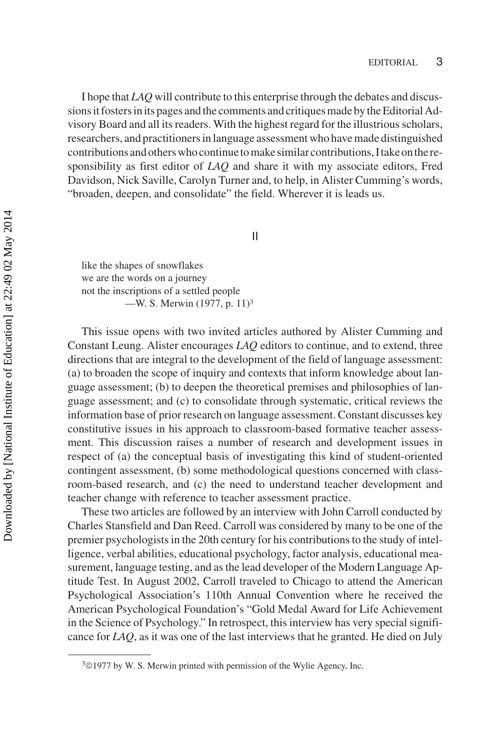I hope that *LAQ* will contribute to this enterprise through the debates and discussions it fosters in its pages and the comments and critiques made by the Editorial Advisory Board and all its readers. With the highest regard for the illustrious scholars, researchers, and practitioners in language assessment who have made distinguished contributions and others who continue to make similar contributions, I take on the responsibility as first editor of *LAQ* and share it with my associate editors, Fred Davidson, Nick Saville, Carolyn Turner and, to help, in Alister Cumming's words, "broaden, deepen, and consolidate" the field. Wherever it is leads us.

II

like the shapes of snowflakes we are the words on a journey not the inscriptions of a settled people —W. S. Merwin (1977, p. 11)3

This issue opens with two invited articles authored by Alister Cumming and Constant Leung. Alister encourages *LAQ* editors to continue, and to extend, three directions that are integral to the development of the field of language assessment: (a) to broaden the scope of inquiry and contexts that inform knowledge about language assessment; (b) to deepen the theoretical premises and philosophies of language assessment; and (c) to consolidate through systematic, critical reviews the information base of prior research on language assessment. Constant discusses key constitutive issues in his approach to classroom-based formative teacher assessment. This discussion raises a number of research and development issues in respect of (a) the conceptual basis of investigating this kind of student-oriented contingent assessment, (b) some methodological questions concerned with classroom-based research, and (c) the need to understand teacher development and teacher change with reference to teacher assessment practice.

These two articles are followed by an interview with John Carroll conducted by Charles Stansfield and Dan Reed. Carroll was considered by many to be one of the premier psychologists in the 20th century for his contributions to the study of intelligence, verbal abilities, educational psychology, factor analysis, educational measurement, language testing, and as the lead developer of the Modern Language Aptitude Test. In August 2002, Carroll traveled to Chicago to attend the American Psychological Association's 110th Annual Convention where he received the American Psychological Foundation's "Gold Medal Award for Life Achievement in the Science of Psychology." In retrospect, this interview has very special significance for *LAQ*, as it was one of the last interviews that he granted. He died on July

<sup>&</sup>lt;sup>3</sup>©1977 by W. S. Merwin printed with permission of the Wylie Agency, Inc.